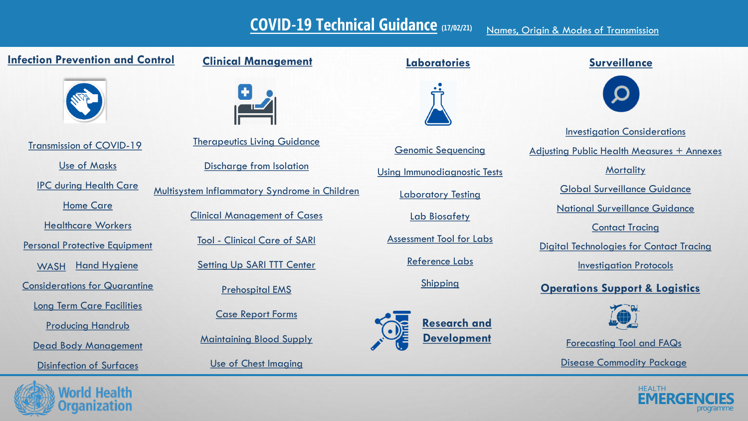#### **[COVID-19 Technical Guidance](https://www.dropbox.com/sh/zx5fm4j4pw5vpi5/AAAGndVQTJFBo0XodRphtQrRa?dl=0) (17/02/21)** [Names, Origin & Modes of Transmission](https://www.dropbox.com/sh/qvw2s6xu5z8kgcw/AAD0cHn0n7QzTPO-u66mbHN-a?dl=0)

#### **[Infection Prevention and Control](https://www.dropbox.com/sh/63vywfk29zu3pk8/AACMSvhfT7EVhAKhNvTZVjWca?dl=0)**



[Transmission of COVID-19](https://www.dropbox.com/sh/r0k8opa54gxvrkp/AACTNNS3YTmg6COEePoySvpCa?dl=0)

[Use of Masks](https://www.dropbox.com/sh/1sbz6nccmfebel6/AADb0h6hTcHSvX8yuCL3Qlyua?dl=0)

[IPC during Health Care](https://www.dropbox.com/sh/hvrroidsq8uyzvm/AABlTkEATipNY9c2n7eUJ0G0a?dl=0)

[Home Care](https://www.dropbox.com/sh/bazxn0oo628ysmg/AAD2VYwNZsNMaAVBZJfD4VrGa?dl=0)

[Healthcare Workers](https://www.dropbox.com/sh/z6sswsl9km4dhpk/AAASvzsEA_439H8l1E5y82r2a?dl=0)

Personal Protective [Equipment](https://www.dropbox.com/sh/8hoahd1apeatizi/AACI9RqUvj5d67IIPri7OsDxa?dl=0)

[WASH](https://www.dropbox.com/sh/nu3ktdo5hx3tc9l/AACF5xmu4FY_OHa6A5YCuVJ6a?dl=0) [Hand Hygiene](https://www.dropbox.com/sh/1euvcim8b5fqkhq/AACNDrFT-kxyH50bRQ_sZagaa?dl=0)

[Considerations for Quarantine](https://www.dropbox.com/sh/ht25tbccqb5hcyf/AABLb8Xx6QNo_cqAPjMDkooIa?dl=0)

[Long Term Care Facilities](https://www.dropbox.com/sh/w8xztsdn48rvxyi/AAA9peE4PudrZhQuvwr3dG5Va?dl=0)

[Producing Handrub](https://www.dropbox.com/sh/8g2mqfl1uc6gaq3/AADITe9zw3tq5Yyv1L6rGmcPa?dl=0)

[Dead Body Management](https://www.dropbox.com/sh/zj049zsm3b5nsr4/AABGS-yk3Y1RMX_G4SZWqD0Ka?dl=0)

[Disinfection of Surfaces](https://www.dropbox.com/sh/643kw8mmie84rpi/AAA-sXW-YFzACVpdoUB0w1RXa?dl=0)

### **[Clinical Management](https://www.dropbox.com/sh/ep04nhsozx8n104/AADF4RGn8Tp5bfLBHndoOtHOa?dl=0)**



[Therapeutics Living Guidance](https://www.dropbox.com/sh/bjywink4odlvby2/AAA4qd6RPQqc83nvX1RWkrEna?dl=0)

[Discharge from Isolation](https://www.dropbox.com/sh/rnchuvjn9nmobtj/AADDTBon4-AcKEW_6Wb1A_qqa?dl=0)

[Multisystem Inflammatory Syndrome in Children](https://www.dropbox.com/sh/mwq9ucbdfqg0nbl/AADzHKVbYBPIvjdvWRe9cIP3a?dl=0)

[Clinical Management of Cases](https://www.dropbox.com/sh/t12isogaqwg8hp3/AACXw4mkxV-0KArLa-PMBlI7a?dl=0)

Tool - [Clinical Care of SARI](https://www.dropbox.com/sh/ap3cdl6ulhexl6d/AABbAUtqguKIC2ztwiqb4QWNa?dl=0)

[Setting Up SARI TTT Center](https://www.dropbox.com/sh/btntbxsn1xara82/AAAHRTswboI6rZq1BGuIIkFya?dl=0)

[Prehospital EMS](https://www.dropbox.com/sh/0s6aqej8qu5nud2/AADZvjFh_AFqopOy5-OZbqkta?dl=0)

[Case Report Forms](https://www.dropbox.com/sh/a8pad55vu1utraw/AADWzF5iuHy-Qa_WJTjp1TH_a?dl=0)

[Maintaining Blood Supply](https://www.dropbox.com/sh/z0yq07yzuisonhu/AABdVxCvMqnC6QNdtpnjvtTra?dl=0)

[Use of Chest Imaging](https://www.dropbox.com/sh/1o2hcyhflzq4x3q/AACxdVfM5h6rBxeph7AQQZgta?dl=0)

#### **[Laboratories](https://www.dropbox.com/sh/skvsulznxi82qi8/AAA8Hn0Xc0GdAXzedhnyzs1ja?dl=0)**



[Shipping](https://www.dropbox.com/sh/3cerug93bzdk366/AABZvxT36iN7yLWSR7fCRFmQa?dl=0)

**Research and [Development](https://www.dropbox.com/sh/2z5m4o4w20tm120/AACVNbBz_JkiVbLPSKjQAybna?dl=0)**

[Reference Labs](https://www.dropbox.com/sh/5alrnijdt4z8w6h/AADgbmSEI5VOCT9wq2-U4Srva?dl=0)

[Assessment Tool for Labs](https://www.dropbox.com/sh/j50zm9n6fqoevw7/AADerLt-QnlkZKwaTnXDFzfja?dl=0)

[Lab Biosafety](https://www.dropbox.com/sh/d6u22doriwjfx4m/AABVJJMdy_7gw_ZrgvEMR8Cta?dl=0)

Laboratory [Testing](https://www.dropbox.com/sh/6ds51omvuzjhnxp/AACb_f46TSX5u_F6S7reogrya?dl=0)

[Using Immunodiagnostic Tests](https://www.dropbox.com/sh/gp9suzywwfj5zgt/AAAV9cO-fKaZxrbz_A6rC75Da?dl=0)

[Genomic Sequencing](https://www.dropbox.com/sh/khocl1pl0pgarah/AAAmHyzT96yzbmfv_n1BEwF0a?dl=0)

#### **[Surveillance](https://www.dropbox.com/sh/0itgvnm132x05er/AACxVWEyVrvkbYxqnTKNTbqJa?dl=0)**



**[Mortality](https://www.dropbox.com/sh/c2la9uru75ix08p/AAAVOGWQOTivEUciIfivN_Npa?dl=0)** [Global Surveillance Guidance](https://www.dropbox.com/sh/u7k7vrw9was00co/AABVpFbCec0bNEUvCJ8garGja?dl=0) [Adjusting Public Health Measures + Annexes](https://www.dropbox.com/sh/hei1hyj3zkbx4xw/AABdg0yPUglSW0Gt4WjdEazAa?dl=0) [National Surveillance Guidance](https://www.dropbox.com/sh/0h0r2x0d8872qjp/AAAXXMaSjGYStno07FPfOqV8a?dl=0) [Contact Tracing](https://www.dropbox.com/sh/8o61hz7f5tosh4o/AADcaGfpgafQN1uiRRqBxM4-a?dl=0) [Investigation Considerations](https://www.dropbox.com/sh/gsvzzjdo9idegs4/AAC9YjYiQYZdhc10gZiRPlr4a?dl=0)

[Digital Technologies for Contact Tracing](https://www.dropbox.com/sh/2z0z7i9qewtscah/AADFZio212OgMkjEB8WrGyJBa?dl=0)

[Investigation Protocols](https://www.dropbox.com/sh/747ckmmym3w8sr0/AAARKgISirDBlIfG54QSgzZ5a?dl=0)

### **[Operations Support & Logistics](https://www.dropbox.com/sh/00kqvxtkrv11rgl/AACXsFYulx-jOYU_HYsmq5Rha?dl=0)**



[Forecasting Tool](https://www.dropbox.com/sh/ctns46rdo6oex9i/AAC8w70FpadCR1uUAtQYK5p8a?dl=0) and FAQs

[Disease Commodity](https://www.dropbox.com/sh/qmzs6mhzixdydib/AAAdDt4dh2JM2KEydYuBnI-8a?dl=0) Package



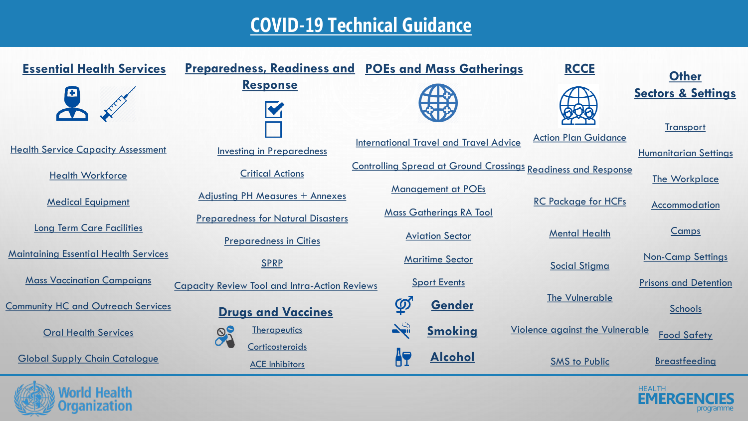## **[COVID-19 Technical Guidance](https://www.dropbox.com/sh/zx5fm4j4pw5vpi5/AAAGndVQTJFBo0XodRphtQrRa?dl=0)**

| <b>Essential Health Services</b>             | <b>Preparedness, Readiness and POEs and Mass Gatherings</b>                |                                                                      | <b>RCCE</b>                            | <b>Other</b>                                  |
|----------------------------------------------|----------------------------------------------------------------------------|----------------------------------------------------------------------|----------------------------------------|-----------------------------------------------|
|                                              | <b>Response</b>                                                            |                                                                      |                                        | <b>Sectors &amp; Settings</b>                 |
| <b>Health Service Capacity Assessment</b>    |                                                                            | <b>International Travel and Travel Advice</b>                        | <b>Action Plan Guidance</b>            | <b>Transport</b>                              |
| <b>Health Workforce</b>                      | <b>Investing in Preparedness</b><br><b>Critical Actions</b>                | <b>Controlling Spread at Ground Crossings Readiness and Response</b> |                                        | <b>Humanitarian Settings</b><br>The Workplace |
| <b>Medical Equipment</b>                     | <b>Adjusting PH Measures + Annexes</b>                                     | <b>Management at POEs</b><br><b>Mass Gatherings RA Tool</b>          | <b>RC Package for HCFs</b>             | Accommodation                                 |
| <b>Long Term Care Facilities</b>             | <b>Preparedness for Natural Disasters</b><br><b>Preparedness in Cities</b> | <b>Aviation Sector</b>                                               | <b>Mental Health</b>                   | Camps                                         |
| <b>Maintaining Essential Health Services</b> | <b>SPRP</b>                                                                | <b>Maritime Sector</b>                                               | <b>Social Stigma</b>                   | <b>Non-Camp Settings</b>                      |
| <b>Mass Vaccination Campaigns</b>            | <b>Capacity Review Tool and Intra-Action Reviews</b>                       | <b>Sport Events</b>                                                  | <b>The Vulnerable</b>                  | <b>Prisons and Detention</b>                  |
| <b>Community HC and Outreach Services</b>    | <b>Drugs and Vaccines</b>                                                  | $\overline{\mathcal{P}}$<br><b>Gender</b>                            |                                        | <b>Schools</b>                                |
| <b>Oral Health Services</b>                  | <b>Therapeutics</b><br>Corticosteroids                                     | $\sum_{i=1}^n$<br><b>Smoking</b>                                     | <b>Violence against the Vulnerable</b> | <b>Food Safety</b>                            |
| <b>Global Supply Chain Catalogue</b>         | <b>ACE Inhibitors</b>                                                      | ÄT<br><b>Alcohol</b>                                                 | <b>SMS to Public</b>                   | <b>Breastfeeding</b>                          |

**World Health**<br>Organization